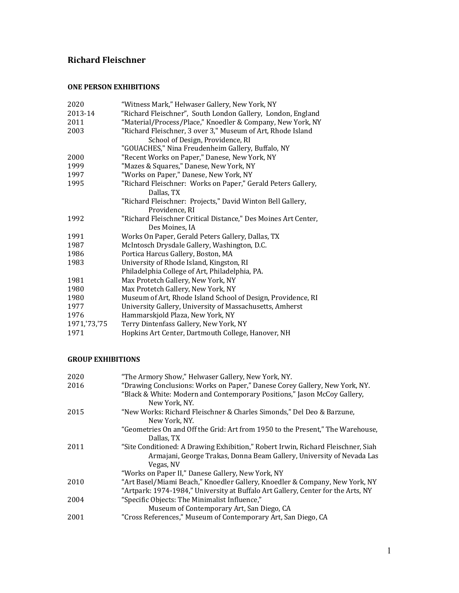# **Richard Fleischner**

#### **ONE PERSON EXHIBITIONS**

| 2020         | "Witness Mark," Helwaser Gallery, New York, NY                 |
|--------------|----------------------------------------------------------------|
| 2013-14      | "Richard Fleischner", South London Gallery, London, England    |
| 2011         | "Material/Process/Place," Knoedler & Company, New York, NY     |
| 2003         | "Richard Fleischner, 3 over 3," Museum of Art, Rhode Island    |
|              | School of Design, Providence, RI                               |
|              | "GOUACHES," Nina Freudenheim Gallery, Buffalo, NY              |
| 2000         | "Recent Works on Paper," Danese, New York, NY                  |
| 1999         | "Mazes & Squares," Danese, New York, NY                        |
| 1997         | "Works on Paper," Danese, New York, NY                         |
| 1995         | "Richard Fleischner: Works on Paper," Gerald Peters Gallery,   |
|              | Dallas, TX                                                     |
|              | "Richard Fleischner: Projects," David Winton Bell Gallery,     |
|              | Providence, RI                                                 |
| 1992         | "Richard Fleischner Critical Distance," Des Moines Art Center, |
|              | Des Moines, IA                                                 |
| 1991         | Works On Paper, Gerald Peters Gallery, Dallas, TX              |
| 1987         | McIntosch Drysdale Gallery, Washington, D.C.                   |
| 1986         | Portica Harcus Gallery, Boston, MA                             |
| 1983         | University of Rhode Island, Kingston, RI                       |
|              | Philadelphia College of Art, Philadelphia, PA.                 |
| 1981         | Max Protetch Gallery, New York, NY                             |
| 1980         | Max Protetch Gallery, New York, NY                             |
| 1980         | Museum of Art, Rhode Island School of Design, Providence, RI   |
| 1977         | University Gallery, University of Massachusetts, Amherst       |
| 1976         | Hammarskjold Plaza, New York, NY                               |
| 1971,'73,'75 | Terry Dintenfass Gallery, New York, NY                         |
| 1971         | Hopkins Art Center, Dartmouth College, Hanover, NH             |
|              |                                                                |

## **GROUP EXHIBITIONS**

| 2020 | "The Armory Show," Helwaser Gallery, New York, NY.                                                                                                                     |
|------|------------------------------------------------------------------------------------------------------------------------------------------------------------------------|
| 2016 | "Drawing Conclusions: Works on Paper," Danese Corey Gallery, New York, NY.                                                                                             |
|      | "Black & White: Modern and Contemporary Positions," Jason McCoy Gallery,<br>New York, NY.                                                                              |
| 2015 | "New Works: Richard Fleischner & Charles Simonds," Del Deo & Barzune,                                                                                                  |
|      | New York, NY.                                                                                                                                                          |
|      | "Geometries On and Off the Grid: Art from 1950 to the Present," The Warehouse,<br>Dallas, TX                                                                           |
| 2011 | "Site Conditioned: A Drawing Exhibition," Robert Irwin, Richard Fleischner, Siah<br>Armajani, George Trakas, Donna Beam Gallery, University of Nevada Las<br>Vegas, NV |
|      | "Works on Paper II," Danese Gallery, New York, NY                                                                                                                      |
| 2010 | "Art Basel/Miami Beach," Knoedler Gallery, Knoedler & Company, New York, NY<br>"Artpark: 1974-1984," University at Buffalo Art Gallery, Center for the Arts, NY        |
| 2004 | "Specific Objects: The Minimalist Influence,"<br>Museum of Contemporary Art, San Diego, CA                                                                             |
| 2001 | "Cross References," Museum of Contemporary Art, San Diego, CA                                                                                                          |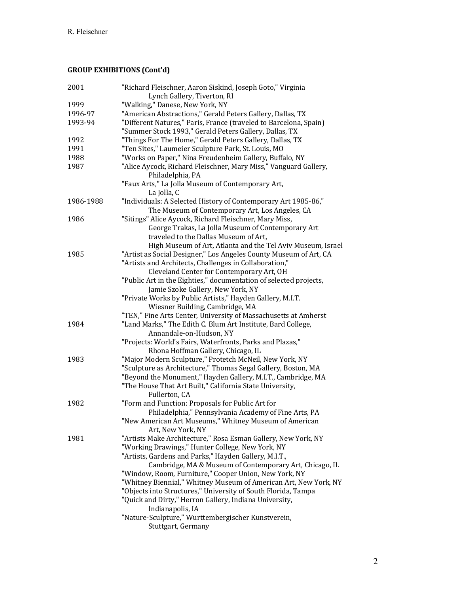# **GROUP EXHIBITIONS (Cont'd)**

| 2001      | "Richard Fleischner, Aaron Siskind, Joseph Goto," Virginia<br>Lynch Gallery, Tiverton, RI |
|-----------|-------------------------------------------------------------------------------------------|
| 1999      | "Walking," Danese, New York, NY                                                           |
| 1996-97   | "American Abstractions," Gerald Peters Gallery, Dallas, TX                                |
| 1993-94   | "Different Natures," Paris, France (traveled to Barcelona, Spain)                         |
|           | "Summer Stock 1993," Gerald Peters Gallery, Dallas, TX                                    |
| 1992      | "Things For The Home," Gerald Peters Gallery, Dallas, TX                                  |
| 1991      | "Ten Sites," Laumeier Sculpture Park, St. Louis, MO                                       |
| 1988      | "Works on Paper," Nina Freudenheim Gallery, Buffalo, NY                                   |
| 1987      | "Alice Aycock, Richard Fleischner, Mary Miss," Vanguard Gallery,                          |
|           | Philadelphia, PA                                                                          |
|           | "Faux Arts," La Jolla Museum of Contemporary Art,<br>La Jolla, C                          |
| 1986-1988 | "Individuals: A Selected History of Contemporary Art 1985-86,"                            |
|           | The Museum of Contemporary Art, Los Angeles, CA                                           |
| 1986      | "Sitings" Alice Aycock, Richard Fleischner, Mary Miss,                                    |
|           | George Trakas, La Jolla Museum of Contemporary Art                                        |
|           | traveled to the Dallas Museum of Art,                                                     |
|           | High Museum of Art, Atlanta and the Tel Aviv Museum, Israel                               |
| 1985      | "Artist as Social Designer," Los Angeles County Museum of Art, CA                         |
|           | "Artists and Architects, Challenges in Collaboration,"                                    |
|           | Cleveland Center for Contemporary Art, OH                                                 |
|           | "Public Art in the Eighties," documentation of selected projects,                         |
|           | Jamie Szoke Gallery, New York, NY                                                         |
|           | "Private Works by Public Artists," Hayden Gallery, M.I.T.                                 |
|           | Wiesner Building, Cambridge, MA                                                           |
|           | "TEN," Fine Arts Center, University of Massachusetts at Amherst                           |
| 1984      | "Land Marks," The Edith C. Blum Art Institute, Bard College,                              |
|           | Annandale-on-Hudson, NY                                                                   |
|           | "Projects: World's Fairs, Waterfronts, Parks and Plazas,"                                 |
|           | Rhona Hoffman Gallery, Chicago, IL                                                        |
| 1983      | "Major Modern Sculpture," Protetch McNeil, New York, NY                                   |
|           | "Sculpture as Architecture," Thomas Segal Gallery, Boston, MA                             |
|           | "Beyond the Monument," Hayden Gallery, M.I.T., Cambridge, MA                              |
|           | "The House That Art Built," California State University,                                  |
|           | Fullerton, CA                                                                             |
| 1982      | "Form and Function: Proposals for Public Art for                                          |
|           | Philadelphia," Pennsylvania Academy of Fine Arts, PA                                      |
|           | "New American Art Museums," Whitney Museum of American                                    |
|           | Art, New York, NY                                                                         |
| 1981      | "Artists Make Architecture," Rosa Esman Gallery, New York, NY                             |
|           | "Working Drawings," Hunter College, New York, NY                                          |
|           | "Artists, Gardens and Parks," Hayden Gallery, M.I.T.,                                     |
|           | Cambridge, MA & Museum of Contemporary Art, Chicago, IL                                   |
|           | "Window, Room, Furniture," Cooper Union, New York, NY                                     |
|           | "Whitney Biennial," Whitney Museum of American Art, New York, NY                          |
|           | "Objects into Structures," University of South Florida, Tampa                             |
|           | "Quick and Dirty," Herron Gallery, Indiana University,                                    |
|           | Indianapolis, IA                                                                          |
|           | "Nature-Sculpture," Wurttembergischer Kunstverein,                                        |
|           | Stuttgart, Germany                                                                        |
|           |                                                                                           |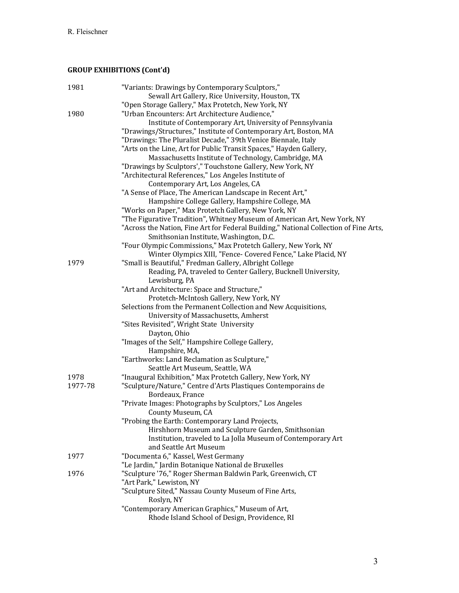# **GROUP EXHIBITIONS (Cont'd)**

| 1981    | "Variants: Drawings by Contemporary Sculptors,"<br>Sewall Art Gallery, Rice University, Houston, TX |
|---------|-----------------------------------------------------------------------------------------------------|
|         | "Open Storage Gallery," Max Protetch, New York, NY                                                  |
| 1980    | "Urban Encounters: Art Architecture Audience,"                                                      |
|         | Institute of Contemporary Art, University of Pennsylvania                                           |
|         | "Drawings/Structures," Institute of Contemporary Art, Boston, MA                                    |
|         | "Drawings: The Pluralist Decade," 39th Venice Biennale, Italy                                       |
|         | "Arts on the Line, Art for Public Transit Spaces," Hayden Gallery,                                  |
|         | Massachusetts Institute of Technology, Cambridge, MA                                                |
|         | "Drawings by Sculptors'," Touchstone Gallery, New York, NY                                          |
|         | "Architectural References," Los Angeles Institute of                                                |
|         | Contemporary Art, Los Angeles, CA                                                                   |
|         | "A Sense of Place, The American Landscape in Recent Art,"                                           |
|         | Hampshire College Gallery, Hampshire College, MA                                                    |
|         | "Works on Paper," Max Protetch Gallery, New York, NY                                                |
|         | "The Figurative Tradition", Whitney Museum of American Art, New York, NY                            |
|         | "Across the Nation, Fine Art for Federal Building," National Collection of Fine Arts,               |
|         | Smithsonian Institute, Washington, D.C.                                                             |
|         | "Four Olympic Commissions," Max Protetch Gallery, New York, NY                                      |
|         | Winter Olympics XIII, "Fence- Covered Fence," Lake Placid, NY                                       |
| 1979    | "Small is Beautiful," Fredman Gallery, Albright College                                             |
|         | Reading, PA, traveled to Center Gallery, Bucknell University,                                       |
|         | Lewisburg, PA                                                                                       |
|         | "Art and Architecture: Space and Structure,"                                                        |
|         | Protetch-McIntosh Gallery, New York, NY                                                             |
|         | Selections from the Permanent Collection and New Acquisitions,                                      |
|         | University of Massachusetts, Amherst                                                                |
|         | "Sites Revisited", Wright State University                                                          |
|         | Dayton, Ohio                                                                                        |
|         | "Images of the Self," Hampshire College Gallery,                                                    |
|         | Hampshire, MA,                                                                                      |
|         | "Earthworks: Land Reclamation as Sculpture,"                                                        |
|         | Seattle Art Museum, Seattle, WA                                                                     |
| 1978    | "Inaugural Exhibition," Max Protetch Gallery, New York, NY                                          |
| 1977-78 | "Sculpture/Nature," Centre d'Arts Plastiques Contemporains de                                       |
|         | Bordeaux, France                                                                                    |
|         | "Private Images: Photographs by Sculptors," Los Angeles                                             |
|         | County Museum, CA                                                                                   |
|         | 'Probing the Earth: Contemporary Land Projects,                                                     |
|         | Hirshhorn Museum and Sculpture Garden, Smithsonian                                                  |
|         | Institution, traveled to La Jolla Museum of Contemporary Art                                        |
|         | and Seattle Art Museum                                                                              |
| 1977    | "Documenta 6," Kassel, West Germany                                                                 |
|         | "Le Jardin," Jardin Botanique National de Bruxelles                                                 |
| 1976    | "Sculpture '76," Roger Sherman Baldwin Park, Greenwich, CT                                          |
|         | "Art Park," Lewiston, NY                                                                            |
|         | "Sculpture Sited," Nassau County Museum of Fine Arts,                                               |
|         | Roslyn, NY                                                                                          |
|         | "Contemporary American Graphics," Museum of Art,<br>Rhode Island School of Design, Providence, RI   |
|         |                                                                                                     |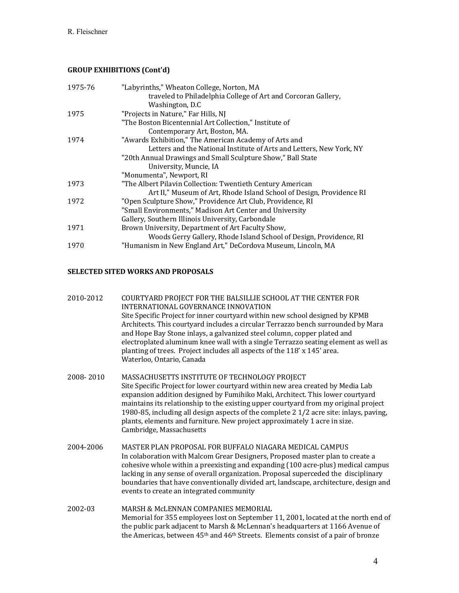#### **GROUP EXHIBITIONS (Cont'd)**

| traveled to Philadelphia College of Art and Corcoran Gallery,        |  |
|----------------------------------------------------------------------|--|
| Washington, D.C.                                                     |  |
| "Projects in Nature," Far Hills, NJ<br>1975                          |  |
| "The Boston Bicentennial Art Collection," Institute of               |  |
| Contemporary Art, Boston, MA.                                        |  |
| "Awards Exhibition," The American Academy of Arts and<br>1974        |  |
| Letters and the National Institute of Arts and Letters, New York, NY |  |
| "20th Annual Drawings and Small Sculpture Show," Ball State          |  |
| University, Muncie, IA                                               |  |
| "Monumenta", Newport, RI                                             |  |
| 1973<br>"The Albert Pilavin Collection: Twentieth Century American   |  |
| Art II," Museum of Art, Rhode Island School of Design, Providence RI |  |
| 1972<br>"Open Sculpture Show," Providence Art Club, Providence, RI   |  |
| "Small Environments," Madison Art Center and University              |  |
| Gallery, Southern Illinois University, Carbondale                    |  |
| Brown University, Department of Art Faculty Show,<br>1971            |  |
| Woods Gerry Gallery, Rhode Island School of Design, Providence, RI   |  |
| "Humanism in New England Art," DeCordova Museum, Lincoln, MA<br>1970 |  |

#### **SELECTED SITED WORKS AND PROPOSALS**

| 2010-2012 | COURTYARD PROJECT FOR THE BALSILLIE SCHOOL AT THE CENTER FOR<br>INTERNATIONAL GOVERNANCE INNOVATION<br>Site Specific Project for inner courtyard within new school designed by KPMB<br>Architects. This courtyard includes a circular Terrazzo bench surrounded by Mara<br>and Hope Bay Stone inlays, a galvanized steel column, copper plated and<br>electroplated aluminum knee wall with a single Terrazzo seating element as well as<br>planting of trees. Project includes all aspects of the 118' x 145' area.<br>Waterloo, Ontario, Canada |
|-----------|---------------------------------------------------------------------------------------------------------------------------------------------------------------------------------------------------------------------------------------------------------------------------------------------------------------------------------------------------------------------------------------------------------------------------------------------------------------------------------------------------------------------------------------------------|
| 2008-2010 | MASSACHUSETTS INSTITUTE OF TECHNOLOGY PROJECT                                                                                                                                                                                                                                                                                                                                                                                                                                                                                                     |

- Site Specific Project for lower courtyard within new area created by Media Lab expansion addition designed by Fumihiko Maki, Architect. This lower courtyard maintains its relationship to the existing upper courtyard from my original project 1980-85, including all design aspects of the complete  $2\frac{1}{2}$  acre site: inlays, paving, plants, elements and furniture. New project approximately 1 acre in size. Cambridge, Massachusetts
- 2004-2006 MASTER PLAN PROPOSAL FOR BUFFALO NIAGARA MEDICAL CAMPUS In colaboration with Malcom Grear Designers, Proposed master plan to create a cohesive whole within a preexisting and expanding (100 acre-plus) medical campus lacking in any sense of overall organization. Proposal superceded the disciplinary boundaries that have conventionally divided art, landscape, architecture, design and events to create an integrated community
- 2002-03 MARSH & McLENNAN COMPANIES MEMORIAL Memorial for 355 employees lost on September 11, 2001, located at the north end of the public park adjacent to Marsh & McLennan's headquarters at 1166 Avenue of the Americas, between  $45<sup>th</sup>$  and  $46<sup>th</sup>$  Streets. Elements consist of a pair of bronze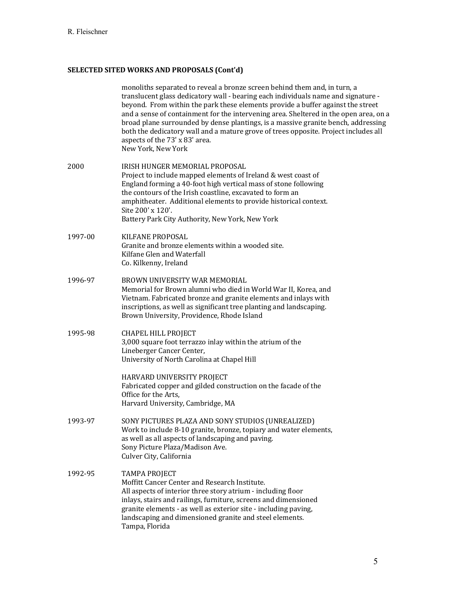|         | monoliths separated to reveal a bronze screen behind them and, in turn, a<br>translucent glass dedicatory wall - bearing each individuals name and signature -<br>beyond. From within the park these elements provide a buffer against the street<br>and a sense of containment for the intervening area. Sheltered in the open area, on a<br>broad plane surrounded by dense plantings, is a massive granite bench, addressing<br>both the dedicatory wall and a mature grove of trees opposite. Project includes all<br>aspects of the 73' x 83' area.<br>New York, New York |
|---------|--------------------------------------------------------------------------------------------------------------------------------------------------------------------------------------------------------------------------------------------------------------------------------------------------------------------------------------------------------------------------------------------------------------------------------------------------------------------------------------------------------------------------------------------------------------------------------|
| 2000    | IRISH HUNGER MEMORIAL PROPOSAL<br>Project to include mapped elements of Ireland & west coast of<br>England forming a 40-foot high vertical mass of stone following<br>the contours of the Irish coastline, excavated to form an<br>amphitheater. Additional elements to provide historical context.<br>Site 200' x 120'.<br>Battery Park City Authority, New York, New York                                                                                                                                                                                                    |
| 1997-00 | KILFANE PROPOSAL<br>Granite and bronze elements within a wooded site.<br>Kilfane Glen and Waterfall<br>Co. Kilkenny, Ireland                                                                                                                                                                                                                                                                                                                                                                                                                                                   |
| 1996-97 | BROWN UNIVERSITY WAR MEMORIAL<br>Memorial for Brown alumni who died in World War II, Korea, and<br>Vietnam. Fabricated bronze and granite elements and inlays with<br>inscriptions, as well as significant tree planting and landscaping.<br>Brown University, Providence, Rhode Island                                                                                                                                                                                                                                                                                        |
| 1995-98 | <b>CHAPEL HILL PROJECT</b><br>3,000 square foot terrazzo inlay within the atrium of the<br>Lineberger Cancer Center,<br>University of North Carolina at Chapel Hill<br>HARVARD UNIVERSITY PROJECT<br>Fabricated copper and gilded construction on the facade of the<br>Office for the Arts,<br>Harvard University, Cambridge, MA                                                                                                                                                                                                                                               |
| 1993-97 | SONY PICTURES PLAZA AND SONY STUDIOS (UNREALIZED)<br>Work to include 8-10 granite, bronze, topiary and water elements,<br>as well as all aspects of landscaping and paving.<br>Sony Picture Plaza/Madison Ave.<br>Culver City, California                                                                                                                                                                                                                                                                                                                                      |
| 1992-95 | <b>TAMPA PROJECT</b><br>Moffitt Cancer Center and Research Institute.<br>All aspects of interior three story atrium - including floor<br>inlays, stairs and railings, furniture, screens and dimensioned<br>granite elements - as well as exterior site - including paving,<br>landscaping and dimensioned granite and steel elements.<br>Tampa, Florida                                                                                                                                                                                                                       |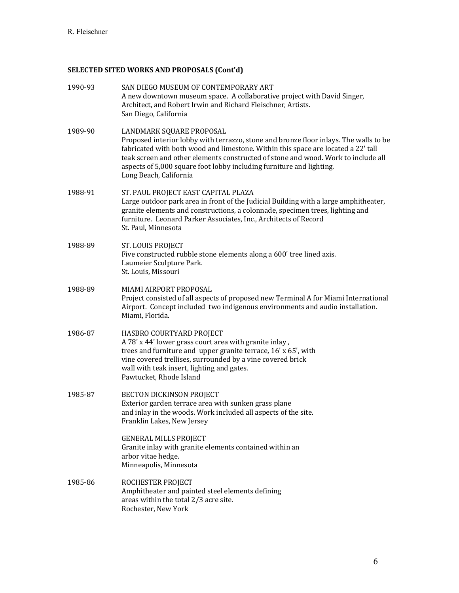| 1990-93 | SAN DIEGO MUSEUM OF CONTEMPORARY ART<br>A new downtown museum space. A collaborative project with David Singer,<br>Architect, and Robert Irwin and Richard Fleischner, Artists.<br>San Diego, California                                                                                                                                                                                      |
|---------|-----------------------------------------------------------------------------------------------------------------------------------------------------------------------------------------------------------------------------------------------------------------------------------------------------------------------------------------------------------------------------------------------|
| 1989-90 | LANDMARK SQUARE PROPOSAL<br>Proposed interior lobby with terrazzo, stone and bronze floor inlays. The walls to be<br>fabricated with both wood and limestone. Within this space are located a 22' tall<br>teak screen and other elements constructed of stone and wood. Work to include all<br>aspects of 5,000 square foot lobby including furniture and lighting.<br>Long Beach, California |
| 1988-91 | ST. PAUL PROJECT EAST CAPITAL PLAZA<br>Large outdoor park area in front of the Judicial Building with a large amphitheater,<br>granite elements and constructions, a colonnade, specimen trees, lighting and<br>furniture. Leonard Parker Associates, Inc., Architects of Record<br>St. Paul, Minnesota                                                                                       |
| 1988-89 | ST. LOUIS PROJECT<br>Five constructed rubble stone elements along a 600' tree lined axis.<br>Laumeier Sculpture Park.<br>St. Louis, Missouri                                                                                                                                                                                                                                                  |
| 1988-89 | MIAMI AIRPORT PROPOSAL<br>Project consisted of all aspects of proposed new Terminal A for Miami International<br>Airport. Concept included two indigenous environments and audio installation.<br>Miami, Florida.                                                                                                                                                                             |
| 1986-87 | HASBRO COURTYARD PROJECT<br>A 78' x 44' lower grass court area with granite inlay,<br>trees and furniture and upper granite terrace, 16' x 65', with<br>vine covered trellises, surrounded by a vine covered brick<br>wall with teak insert, lighting and gates.<br>Pawtucket, Rhode Island                                                                                                   |
| 1985-87 | BECTON DICKINSON PROJECT<br>Exterior garden terrace area with sunken grass plane<br>and inlay in the woods. Work included all aspects of the site.<br>Franklin Lakes, New Jersey                                                                                                                                                                                                              |
|         | <b>GENERAL MILLS PROJECT</b><br>Granite inlay with granite elements contained within an<br>arbor vitae hedge.<br>Minneapolis, Minnesota                                                                                                                                                                                                                                                       |
| 1985-86 | ROCHESTER PROJECT<br>Amphitheater and painted steel elements defining<br>areas within the total 2/3 acre site.<br>Rochester, New York                                                                                                                                                                                                                                                         |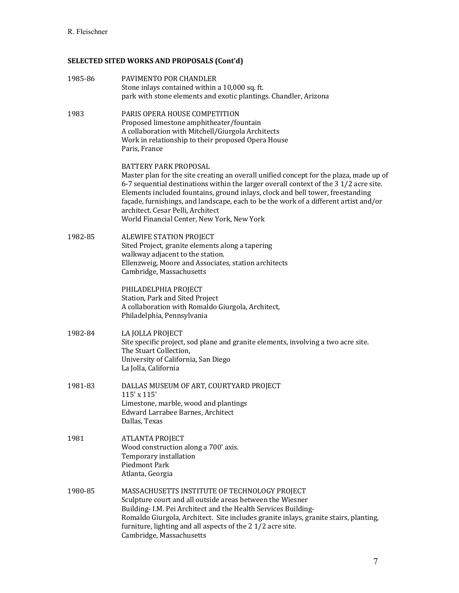| 1985-86 | PAVIMENTO POR CHANDLER<br>Stone inlays contained within a 10,000 sq. ft.<br>park with stone elements and exotic plantings. Chandler, Arizona                                                                                                                                                                                                                                                                                                                                |
|---------|-----------------------------------------------------------------------------------------------------------------------------------------------------------------------------------------------------------------------------------------------------------------------------------------------------------------------------------------------------------------------------------------------------------------------------------------------------------------------------|
| 1983    | PARIS OPERA HOUSE COMPETITION<br>Proposed limestone amphitheater/fountain<br>A collaboration with Mitchell/Giurgola Architects<br>Work in relationship to their proposed Opera House<br>Paris, France                                                                                                                                                                                                                                                                       |
|         | <b>BATTERY PARK PROPOSAL</b><br>Master plan for the site creating an overall unified concept for the plaza, made up of<br>6-7 sequential destinations within the larger overall context of the 31/2 acre site.<br>Elements included fountains, ground inlays, clock and bell tower, freestanding<br>façade, furnishings, and landscape, each to be the work of a different artist and/or<br>architect. Cesar Pelli, Architect<br>World Financial Center, New York, New York |
| 1982-85 | ALEWIFE STATION PROJECT<br>Sited Project, granite elements along a tapering<br>walkway adjacent to the station.<br>Ellenzweig, Moore and Associates, station architects<br>Cambridge, Massachusetts                                                                                                                                                                                                                                                                         |
|         | PHILADELPHIA PROJECT<br>Station, Park and Sited Project<br>A collaboration with Romaldo Giurgola, Architect,<br>Philadelphia, Pennsylvania                                                                                                                                                                                                                                                                                                                                  |
| 1982-84 | LA JOLLA PROJECT<br>Site specific project, sod plane and granite elements, involving a two acre site.<br>The Stuart Collection,<br>University of California, San Diego<br>La Jolla, California                                                                                                                                                                                                                                                                              |
| 1981-83 | DALLAS MUSEUM OF ART, COURTYARD PROJECT<br>$115'$ x $115'$<br>Limestone, marble, wood and plantings<br>Edward Larrabee Barnes, Architect<br>Dallas, Texas                                                                                                                                                                                                                                                                                                                   |
| 1981    | ATLANTA PROJECT<br>Wood construction along a 700' axis.<br>Temporary installation<br>Piedmont Park<br>Atlanta, Georgia                                                                                                                                                                                                                                                                                                                                                      |
| 1980-85 | MASSACHUSETTS INSTITUTE OF TECHNOLOGY PROJECT<br>Sculpture court and all outside areas between the Wiesner<br>Building- I.M. Pei Architect and the Health Services Building-<br>Romaldo Giurgola, Architect. Site includes granite inlays, granite stairs, planting,<br>furniture, lighting and all aspects of the 21/2 acre site.<br>Cambridge, Massachusetts                                                                                                              |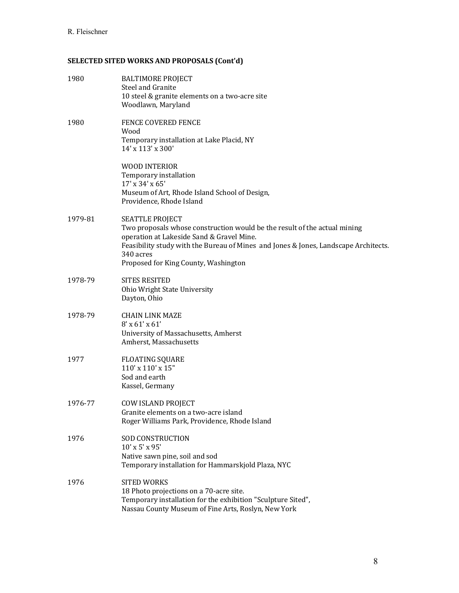| 1980    | <b>BALTIMORE PROJECT</b><br><b>Steel and Granite</b><br>10 steel & granite elements on a two-acre site<br>Woodlawn, Maryland                                                                                                                                                                 |
|---------|----------------------------------------------------------------------------------------------------------------------------------------------------------------------------------------------------------------------------------------------------------------------------------------------|
| 1980    | <b>FENCE COVERED FENCE</b><br>Wood<br>Temporary installation at Lake Placid, NY<br>14' x 113' x 300'                                                                                                                                                                                         |
|         | WOOD INTERIOR<br>Temporary installation<br>17' x 34' x 65'<br>Museum of Art, Rhode Island School of Design,<br>Providence, Rhode Island                                                                                                                                                      |
| 1979-81 | <b>SEATTLE PROJECT</b><br>Two proposals whose construction would be the result of the actual mining<br>operation at Lakeside Sand & Gravel Mine.<br>Feasibility study with the Bureau of Mines and Jones & Jones, Landscape Architects.<br>340 acres<br>Proposed for King County, Washington |
| 1978-79 | <b>SITES RESITED</b><br>Ohio Wright State University<br>Dayton, Ohio                                                                                                                                                                                                                         |
| 1978-79 | <b>CHAIN LINK MAZE</b><br>$8'$ x 61' x 61'<br>University of Massachusetts, Amherst<br>Amherst, Massachusetts                                                                                                                                                                                 |
| 1977    | <b>FLOATING SQUARE</b><br>110' x 110' x 15"<br>Sod and earth<br>Kassel, Germany                                                                                                                                                                                                              |
| 1976-77 | <b>COW ISLAND PROJECT</b><br>Granite elements on a two-acre island<br>Roger Williams Park, Providence, Rhode Island                                                                                                                                                                          |
| 1976    | <b>SOD CONSTRUCTION</b><br>10' x 5' x 95'<br>Native sawn pine, soil and sod<br>Temporary installation for Hammarskjold Plaza, NYC                                                                                                                                                            |
| 1976    | <b>SITED WORKS</b><br>18 Photo projections on a 70-acre site.<br>Temporary installation for the exhibition "Sculpture Sited",<br>Nassau County Museum of Fine Arts, Roslyn, New York                                                                                                         |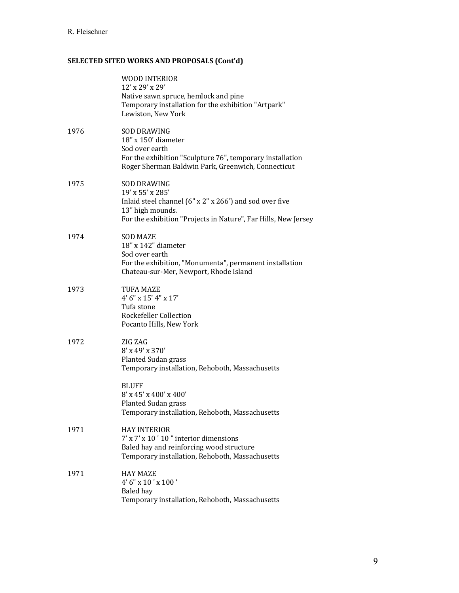|      | <b>WOOD INTERIOR</b><br>12' x 29' x 29'<br>Native sawn spruce, hemlock and pine<br>Temporary installation for the exhibition "Artpark"<br>Lewiston, New York                                                                           |
|------|----------------------------------------------------------------------------------------------------------------------------------------------------------------------------------------------------------------------------------------|
| 1976 | <b>SOD DRAWING</b><br>18" x 150' diameter<br>Sod over earth<br>For the exhibition "Sculpture 76", temporary installation<br>Roger Sherman Baldwin Park, Greenwich, Connecticut                                                         |
| 1975 | <b>SOD DRAWING</b><br>19' x 55' x 285'<br>Inlaid steel channel (6" x 2" x 266') and sod over five<br>13" high mounds.<br>For the exhibition "Projects in Nature", Far Hills, New Jersey                                                |
| 1974 | <b>SOD MAZE</b><br>18" x 142" diameter<br>Sod over earth<br>For the exhibition, "Monumenta", permanent installation<br>Chateau-sur-Mer, Newport, Rhode Island                                                                          |
| 1973 | <b>TUFA MAZE</b><br>4' 6" x 15' 4" x 17'<br>Tufa stone<br><b>Rockefeller Collection</b><br>Pocanto Hills, New York                                                                                                                     |
| 1972 | ZIG ZAG<br>8' x 49' x 370'<br><b>Planted Sudan grass</b><br>Temporary installation, Rehoboth, Massachusetts<br><b>BLUFF</b><br>8' x 45' x 400' x 400'<br><b>Planted Sudan grass</b><br>Temporary installation, Rehoboth, Massachusetts |
| 1971 | <b>HAY INTERIOR</b><br>7' x 7' x 10 ' 10" interior dimensions<br>Baled hay and reinforcing wood structure<br>Temporary installation, Rehoboth, Massachusetts                                                                           |
| 1971 | <b>HAY MAZE</b><br>4' 6" x 10 ' x 100 '<br>Baled hay<br>Temporary installation, Rehoboth, Massachusetts                                                                                                                                |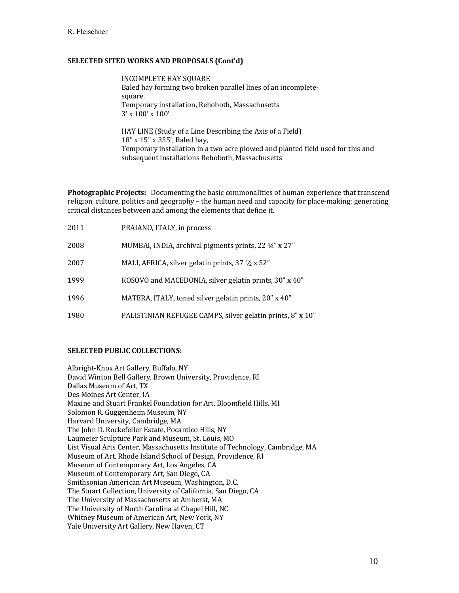INCOMPLETE HAY SOUARE Baled hay forming two broken parallel lines of an incompletesquare. Temporary installation, Rehoboth, Massachusetts  $3' \times 100' \times 100'$ 

HAY LINE (Study of a Line Describing the Axis of a Field) 18" x 15" x 355', Baled hay, Temporary installation in a two acre plowed and planted field used for this and subsequent installations Rehoboth, Massachusetts

**Photographic Projects:** Documenting the basic commonalities of human experience that transcend religion, culture, politics and geography – the human need and capacity for place-making; generating critical distances between and among the elements that define it.

| 2011 | PRAIANO, ITALY, in process                                 |
|------|------------------------------------------------------------|
| 2008 | MUMBAI, INDIA, archival pigments prints, 22 1/4" x 27"     |
| 2007 | MALI, AFRICA, silver gelatin prints, 37 1/2 x 52"          |
| 1999 | KOSOVO and MACEDONIA, silver gelatin prints, 30" x 40"     |
| 1996 | MATERA, ITALY, toned silver gelatin prints, 20" x 40"      |
| 1980 | PALISTINIAN REFUGEE CAMPS, silver gelatin prints, 8" x 10" |

#### **SELECTED PUBLIC COLLECTIONS:**

Albright-Knox Art Gallery, Buffalo, NY David Winton Bell Gallery, Brown University, Providence, RI Dallas Museum of Art, TX Des Moines Art Center, IA Maxine and Stuart Frankel Foundation for Art, Bloomfield Hills, MI Solomon R. Guggenheim Museum, NY Harvard University, Cambridge, MA The John D. Rockefeller Estate, Pocantico Hills, NY Laumeier Sculpture Park and Museum, St. Louis, MO List Visual Arts Center, Massachusetts Institute of Technology, Cambridge, MA Museum of Art, Rhode Island School of Design, Providence, RI Museum of Contemporary Art, Los Angeles, CA Museum of Contemporary Art, San Diego, CA Smithsonian American Art Museum, Washington, D.C. The Stuart Collection, University of California, San Diego, CA The University of Massachusetts at Amherst, MA The University of North Carolina at Chapel Hill, NC Whitney Museum of American Art, New York, NY Yale University Art Gallery, New Haven, CT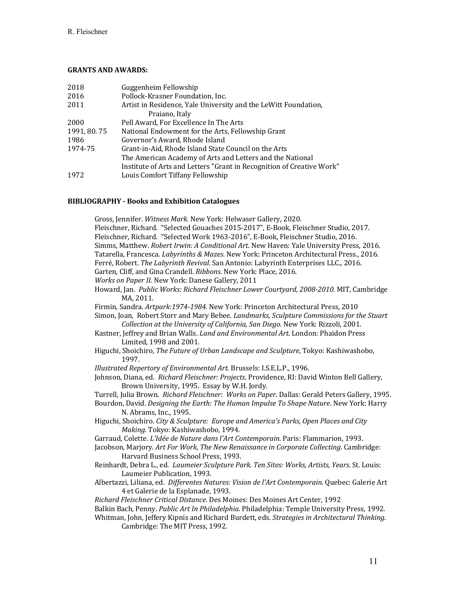#### **GRANTS AND AWARDS:**

| 2018        | Guggenheim Fellowship                                                 |
|-------------|-----------------------------------------------------------------------|
| 2016        | Pollock-Krasner Foundation, Inc.                                      |
| 2011        | Artist in Residence, Yale University and the LeWitt Foundation,       |
|             | Praiano, Italy                                                        |
| 2000        | Pell Award, For Excellence In The Arts                                |
| 1991, 80.75 | National Endowment for the Arts, Fellowship Grant                     |
| 1986        | Governor's Award, Rhode Island                                        |
| 1974-75     | Grant-in-Aid, Rhode Island State Council on the Arts                  |
|             | The American Academy of Arts and Letters and the National             |
|             | Institute of Arts and Letters "Grant in Recognition of Creative Work" |
| 1972        | Louis Comfort Tiffany Fellowship                                      |

### **BIBLIOGRAPHY - Books and Exhibition Catalogues**

| Gross, Jennifer. Witness Mark. New York: Helwaser Gallery, 2020.<br>Fleischner, Richard. "Selected Gouaches 2015-2017", E-Book, Fleischner Studio, 2017.<br>Fleischner, Richard. "Selected Work 1963-2016", E-Book, Fleischner Studio, 2016.<br>Simms, Matthew. Robert Irwin: A Conditional Art. New Haven: Yale University Press, 2016.<br>Tatarella, Francesca. Labyrinths & Mazes. New York: Princeton Architectural Press., 2016.<br>Ferré, Robert. The Labyrinth Revival. San Antonio: Labyrinth Enterprises LLC., 2016.<br>Garten, Cliff, and Gina Crandell. Ribbons. New York: Place, 2016.<br>Works on Paper II. New York: Danese Gallery, 2011<br>Howard, Jan. Public Works: Richard Fleischner Lower Courtyard, 2008-2010. MIT, Cambridge<br>MA, 2011.<br>Firmin, Sandra. Artpark:1974-1984. New York: Princeton Architectural Press, 2010<br>Simon, Joan, Robert Storr and Mary Bebee. Landmarks, Sculpture Commissions for the Stuart<br>Collection at the University of California, San Diego. New York: Rizzoli, 2001.<br>Kastner, Jeffrey and Brian Walls. Land and Environmental Art. London: Phaidon Press<br>Limited, 1998 and 2001. |
|--------------------------------------------------------------------------------------------------------------------------------------------------------------------------------------------------------------------------------------------------------------------------------------------------------------------------------------------------------------------------------------------------------------------------------------------------------------------------------------------------------------------------------------------------------------------------------------------------------------------------------------------------------------------------------------------------------------------------------------------------------------------------------------------------------------------------------------------------------------------------------------------------------------------------------------------------------------------------------------------------------------------------------------------------------------------------------------------------------------------------------------------------------|
| Higuchi, Shoichiro, The Future of Urban Landscape and Sculpture, Tokyo: Kashiwashobo,<br>1997.                                                                                                                                                                                                                                                                                                                                                                                                                                                                                                                                                                                                                                                                                                                                                                                                                                                                                                                                                                                                                                                         |
| Illustrated Repertory of Environmental Art. Brussels: I.S.E.L.P., 1996.                                                                                                                                                                                                                                                                                                                                                                                                                                                                                                                                                                                                                                                                                                                                                                                                                                                                                                                                                                                                                                                                                |
| Johnson, Diana, ed. Richard Fleischner: Projects. Providence, RI: David Winton Bell Gallery,<br>Brown University, 1995. Essay by W.H. Jordy.                                                                                                                                                                                                                                                                                                                                                                                                                                                                                                                                                                                                                                                                                                                                                                                                                                                                                                                                                                                                           |
| Turrell, Julia Brown. Richard Fleischner: Works on Paper. Dallas: Gerald Peters Gallery, 1995.                                                                                                                                                                                                                                                                                                                                                                                                                                                                                                                                                                                                                                                                                                                                                                                                                                                                                                                                                                                                                                                         |
| Bourdon, David. Designing the Earth: The Human Impulse To Shape Nature. New York: Harry<br>N. Abrams, Inc., 1995.                                                                                                                                                                                                                                                                                                                                                                                                                                                                                                                                                                                                                                                                                                                                                                                                                                                                                                                                                                                                                                      |
| Higuchi, Shoichiro. City & Sculpture: Europe and America's Parks, Open Places and City<br>Making. Tokyo: Kashiwashobo, 1994.                                                                                                                                                                                                                                                                                                                                                                                                                                                                                                                                                                                                                                                                                                                                                                                                                                                                                                                                                                                                                           |
| Garraud, Colette. L'Idée de Nature dans l'Art Contemporain. Paris: Flammarion, 1993.<br>Jacobson, Marjory. Art For Work, The New Renaissance in Corporate Collecting. Cambridge:<br>Harvard Business School Press, 1993.                                                                                                                                                                                                                                                                                                                                                                                                                                                                                                                                                                                                                                                                                                                                                                                                                                                                                                                               |
| Reinhardt, Debra L., ed. Laumeier Sculpture Park. Ten Sites: Works, Artists, Years. St. Louis:<br>Laumeier Publication, 1993.                                                                                                                                                                                                                                                                                                                                                                                                                                                                                                                                                                                                                                                                                                                                                                                                                                                                                                                                                                                                                          |
| Albertazzi, Liliana, ed. Differentes Natures: Vision de l'Art Contemporain. Quebec: Galerie Art<br>4 et Galerie de la Esplanade, 1993.                                                                                                                                                                                                                                                                                                                                                                                                                                                                                                                                                                                                                                                                                                                                                                                                                                                                                                                                                                                                                 |
| Richard Fleischner Critical Distance. Des Moines: Des Moines Art Center, 1992                                                                                                                                                                                                                                                                                                                                                                                                                                                                                                                                                                                                                                                                                                                                                                                                                                                                                                                                                                                                                                                                          |
| Balkin Bach, Penny. Public Art In Philadelphia. Philadelphia: Temple University Press, 1992.<br>Whitman, John, Jeffery Kipnis and Richard Burdett, eds. Strategies in Architectural Thinking.<br>Cambridge: The MIT Press, 1992.                                                                                                                                                                                                                                                                                                                                                                                                                                                                                                                                                                                                                                                                                                                                                                                                                                                                                                                       |
|                                                                                                                                                                                                                                                                                                                                                                                                                                                                                                                                                                                                                                                                                                                                                                                                                                                                                                                                                                                                                                                                                                                                                        |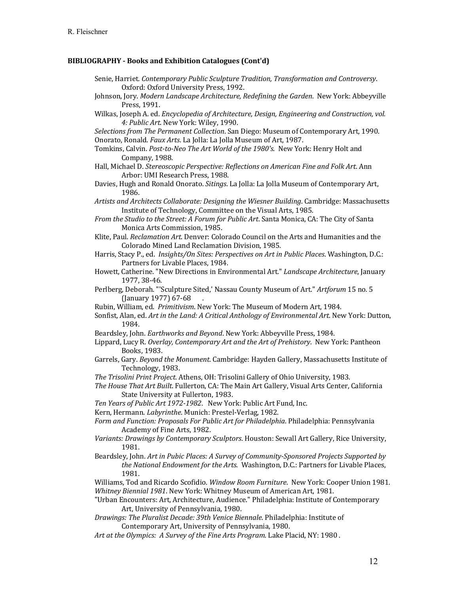#### **BIBLIOGRAPHY - Books and Exhibition Catalogues (Cont'd)**

- Senie, Harriet. Contemporary Public Sculpture Tradition, Transformation and Controversy. Oxford: Oxford University Press, 1992.
- Johnson, Jory. *Modern Landscape Architecture, Redefining the Garden*. New York: Abbeyville Press, 1991.
- Wilkas, Joseph A. ed. *Encyclopedia of Architecture, Design, Engineering and Construction, vol.* 4: Public Art. New York: Wiley, 1990.
- *Selections from The Permanent Collection*. San Diego: Museum of Contemporary Art, 1990. Onorato, Ronald. *Faux Arts*. La Jolla: La Jolla Museum of Art, 1987.
- Tomkins, Calvin. Post-to-Neo The Art World of the 1980's. New York: Henry Holt and Company, 1988.
- Hall, Michael D. *Stereoscopic Perspective: Reflections on American Fine and Folk Art.* Ann Arbor: UMI Research Press, 1988.
- Davies, Hugh and Ronald Onorato. *Sitings*. La Jolla: La Jolla Museum of Contemporary Art, 1986.
- Artists and Architects Collaborate: Designing the Wiesner Building. Cambridge: Massachusetts Institute of Technology, Committee on the Visual Arts, 1985.
- *From the Studio to the Street: A Forum for Public Art.* Santa Monica, CA: The City of Santa Monica Arts Commission, 1985.
- Klite, Paul. *Reclamation Art*. Denver: Colorado Council on the Arts and Humanities and the Colorado Mined Land Reclamation Division, 1985.
- Harris, Stacy P., ed. *Insights/On Sites: Perspectives on Art in Public Places*. Washington, D.C.: Partners for Livable Places, 1984.
- Howett, Catherine. "New Directions in Environmental Art." *Landscape Architecture*, January 1977, 38-46.
- Perlberg, Deborah. "'Sculpture Sited,' Nassau County Museum of Art." *Artforum* 15 no. 5 (January 1977) 67-68 .
- Rubin, William, ed. Primitivism. New York: The Museum of Modern Art, 1984.
- Sonfist, Alan, ed. Art in the Land: A Critical Anthology of Environmental Art. New York: Dutton, 1984.
- Beardsley, John. *Earthworks and Beyond*. New York: Abbeyville Press, 1984.
- Lippard, Lucy R. Overlay, Contemporary Art and the Art of Prehistory. New York: Pantheon Books, 1983.
- Garrels, Gary. *Beyond the Monument*. Cambridge: Hayden Gallery, Massachusetts Institute of Technology, 1983.
- *The Trisolini Print Project*. Athens, OH: Trisolini Gallery of Ohio University, 1983.
- The House That Art Built. Fullerton, CA: The Main Art Gallery, Visual Arts Center, California State University at Fullerton, 1983.
- Ten Years of Public Art 1972-1982. New York: Public Art Fund, Inc.
- Kern, Hermann. *Labyrinthe*. Munich: Prestel-Verlag, 1982.
- Form and Function: Proposals For Public Art for Philadelphia. Philadelphia: Pennsylvania Academy of Fine Arts, 1982.
- *Variants: Drawings by Contemporary Sculptors*. Houston: Sewall Art Gallery, Rice University, 1981.
- Beardsley, John. Art in Pubic Places: A Survey of Community-Sponsored Projects Supported by *the National Endowment for the Arts.* Washington, D.C.: Partners for Livable Places, 1981.
- Williams, Tod and Ricardo Scofidio. *Window Room Furniture*. New York: Cooper Union 1981. *Whitney Biennial 1981*. New York: Whitney Museum of American Art, 1981.
- "Urban Encounters: Art, Architecture, Audience." Philadelphia: Institute of Contemporary Art, University of Pennsylvania, 1980.
- *Drawings: The Pluralist Decade: 39th Venice Biennale. Philadelphia: Institute of* Contemporary Art, University of Pennsylvania, 1980.
- Art at the Olympics: A Survey of the Fine Arts Program. Lake Placid, NY: 1980.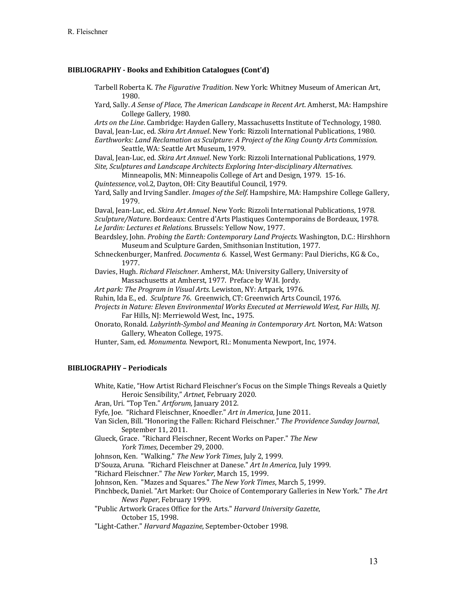#### **BIBLIOGRAPHY - Books and Exhibition Catalogues (Cont'd)**

Tarbell Roberta K. The Figurative Tradition. New York: Whitney Museum of American Art, 1980.

Yard, Sally. *A Sense of Place, The American Landscape in Recent Art*. Amherst, MA: Hampshire College Gallery, 1980.

Arts on the Line. Cambridge: Hayden Gallery, Massachusetts Institute of Technology, 1980. Daval, Jean-Luc, ed. *Skira Art Annuel*. New York: Rizzoli International Publications, 1980. Earthworks: Land Reclamation as Sculpture: A Project of the King County Arts Commission. Seattle, WA: Seattle Art Museum, 1979.

Daval, Jean-Luc, ed. *Skira Art Annuel*. New York: Rizzoli International Publications, 1979. *Site, Sculptures and Landscape Architects Exploring Inter-disciplinary Alternatives*. 

- Minneapolis, MN: Minneapolis College of Art and Design, 1979. 15-16.
- *Quintessence*, vol.2, Dayton, OH: City Beautiful Council, 1979.
- Yard, Sally and Irving Sandler. *Images of the Self*. Hampshire, MA: Hampshire College Gallery, 1979.

Daval, Jean-Luc, ed. *Skira Art Annuel*. New York: Rizzoli International Publications, 1978. *Sculpture/Nature*. Bordeaux: Centre d'Arts Plastiques Contemporains de Bordeaux, 1978. Le Jardin: Lectures et Relations. Brussels: Yellow Now, 1977.

- Beardsley, John. *Probing the Earth: Contemporary Land Projects*. Washington, D.C.: Hirshhorn Museum and Sculpture Garden, Smithsonian Institution, 1977.
- Schneckenburger, Manfred. *Documenta 6*. Kassel, West Germany: Paul Dierichs, KG & Co., 1977.
- Davies, Hugh. *Richard Fleischner*. Amherst, MA: University Gallery, University of Massachusetts at Amherst, 1977. Preface by W.H. Jordy.
- Art park: The Program in Visual Arts. Lewiston, NY: Artpark, 1976.
- Ruhin, Ida E., ed. *Sculpture* 76. Greenwich, CT: Greenwich Arts Council, 1976.
- *Projects in Nature: Eleven Environmental Works Executed at Merriewold West, Far Hills, NJ.* Far Hills, NJ: Merriewold West, Inc., 1975.
- Onorato, Ronald. *Labyrinth-Symbol and Meaning in Contemporary Art*. Norton, MA: Watson Gallery, Wheaton College, 1975.

Hunter, Sam, ed. Monumenta. Newport, RI.: Monumenta Newport, Inc, 1974.

#### **BIBLIOGRAPHY – Periodicals**

White, Katie, "How Artist Richard Fleischner's Focus on the Simple Things Reveals a Quietly Heroic Sensibility," Artnet, February 2020. Aran, Uri. "Top Ten." Artforum, January 2012.

Fyfe, Joe. "Richard Fleischner, Knoedler." Art in America, June 2011.

- Van Siclen, Bill. "Honoring the Fallen: Richard Fleischner." *The Providence Sunday Journal*, September 11, 2011.
- Glueck, Grace. "Richard Fleischner, Recent Works on Paper." The New York Times, December 29, 2000.

Johnson, Ken. "Walking." The New York Times, July 2, 1999.

D'Souza, Aruna. "Richard Fleischner at Danese." *Art In America*, July 1999.

"Richard Fleischner." *The New Yorker*, March 15, 1999.

Johnson, Ken. "Mazes and Squares." The New York Times, March 5, 1999.

Pinchbeck, Daniel. "Art Market: Our Choice of Contemporary Galleries in New York." The Art *News Paper*, February 1999.

"Public Artwork Graces Office for the Arts." *Harvard University Gazette*, October 15, 1998.

"Light-Cather." *Harvard Magazine*, September-October 1998.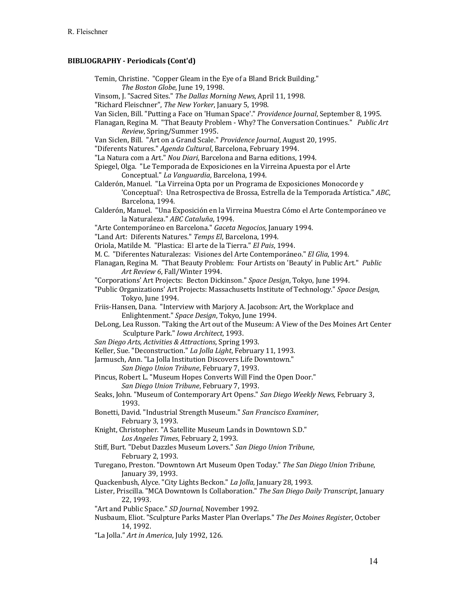Temin, Christine. "Copper Gleam in the Eye of a Bland Brick Building." The Boston Globe, June 19, 1998.

Vinsom, J. "Sacred Sites." The Dallas Morning News, April 11, 1998.

- "Richard Fleischner", *The New Yorker*, January 5, 1998.
- Van Siclen, Bill. "Putting a Face on 'Human Space'." *Providence Journal*, September 8, 1995.
- Flanagan, Regina M. "That Beauty Problem Why? The Conversation Continues." *Public Art Review*, Spring/Summer 1995.
- Van Siclen, Bill. "Art on a Grand Scale." *Providence Journal*, August 20, 1995.
- "Diferents Natures." Agenda Cultural, Barcelona, February 1994.
- "La Natura com a Art." *Nou Diari*, Barcelona and Barna editions, 1994.
- Spiegel, Olga. "Le Temporada de Exposiciones en la Virreina Apuesta por el Arte Conceptual." La Vanguardia, Barcelona, 1994.
- Calderón, Manuel. "La Virreina Opta por un Programa de Exposiciones Monocorde y 'Conceptual': Una Retrospectiva de Brossa, Estrella de la Temporada Artística." *ABC*, Barcelona, 1994.
- Calderón, Manuel. "Una Exposición en la Virreina Muestra Cómo el Arte Contemporáneo ve la Naturaleza." ABC Cataluña, 1994.
- "Arte Contemporáneo en Barcelona." Gaceta Negocios, January 1994.
- "Land Art: Diferents Natures." Temps El, Barcelona, 1994.
- Oriola, Matilde M. "Plastica: El arte de la Tierra." *El Pais*, 1994.
- M. C. "Diferentes Naturalezas: Visiones del Arte Contemporáneo." *El Glia*, 1994.
- Flanagan, Regina M. "That Beauty Problem: Four Artists on 'Beauty' in Public Art." *Public* Art Review 6, Fall/Winter 1994.
- "Corporations' Art Projects: Becton Dickinson." *Space Design*, Tokyo, June 1994.
- "Public Organizations' Art Projects: Massachusetts Institute of Technology." *Space Design*, Tokyo, June 1994.
- Friis-Hansen, Dana. "Interview with Marjory A. Jacobson: Art, the Workplace and Enlightenment." Space Design, Tokyo, June 1994.
- DeLong, Lea Russon. "Taking the Art out of the Museum: A View of the Des Moines Art Center Sculpture Park." *Iowa Architect*, 1993.
- *San Diego Arts, Activities & Attractions*, Spring 1993.
- Keller, Sue. "Deconstruction." *La Jolla Light*, February 11, 1993.
- Jarmusch, Ann. "La Jolla Institution Discovers Life Downtown."
	- *San Diego Union Tribune*, February 7, 1993.
- Pincus, Robert L. "Museum Hopes Converts Will Find the Open Door."
	- *San Diego Union Tribune*, February 7, 1993.
- Seaks, John. "Museum of Contemporary Art Opens." San Diego Weekly News, February 3, 1993.
- Bonetti, David. "Industrial Strength Museum." San Francisco Examiner, February 3, 1993.
- Knight, Christopher. "A Satellite Museum Lands in Downtown S.D." Los Angeles Times, February 2, 1993.
- Stiff, Burt. "Debut Dazzles Museum Lovers." San Diego Union Tribune, February 2, 1993.
- Turegano, Preston. "Downtown Art Museum Open Today." *The San Diego Union Tribune*, January 39, 1993.
- Quackenbush, Alyce. "City Lights Beckon." *La Jolla*, January 28, 1993.
- Lister, Priscilla. "MCA Downtown Is Collaboration." *The San Diego Daily Transcript*, January 22, 1993.
- "Art and Public Space." *SD Journal*, November 1992.
- Nusbaum, Eliot. "Sculpture Parks Master Plan Overlaps." The Des Moines Register, October 14, 1992.
- "La Jolla." Art in America, July 1992, 126.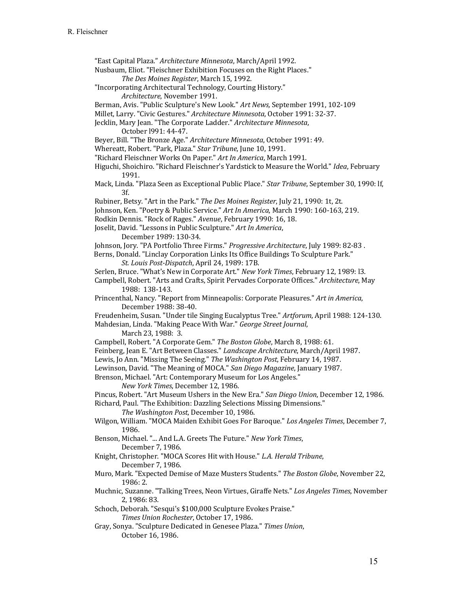"East Capital Plaza." *Architecture Minnesota*, March/April 1992.

Nusbaum, Eliot. "Fleischner Exhibition Focuses on the Right Places." The Des Moines Register, March 15, 1992.

"Incorporating Architectural Technology, Courting History."

*Architecture*, November 1991.

Berman, Avis. "Public Sculpture's New Look." Art News, September 1991, 102-109

Millet, Larry. "Civic Gestures." Architecture Minnesota, October 1991: 32-37.

Jecklin, Mary Jean. "The Corporate Ladder." Architecture Minnesota,

October 1991: 44-47.

Beyer, Bill. "The Bronze Age." *Architecture Minnesota*, October 1991: 49.

Whereatt, Robert. "Park, Plaza." Star Tribune, June 10, 1991.

"Richard Fleischner Works On Paper." Art In America, March 1991.

Higuchi, Shoichiro. "Richard Fleischner's Yardstick to Measure the World." *Idea*, February 1991.

Mack, Linda. "Plaza Seen as Exceptional Public Place." *Star Tribune*, September 30, 1990: If, 3f.

Rubiner, Betsy. "Art in the Park." The Des Moines Register, July 21, 1990: 1t, 2t.

Johnson, Ken. "Poetry & Public Service." Art In America, March 1990: 160-163, 219.

Rodkin Dennis. "Rock of Rages." Avenue, February 1990: 16, 18.

Joselit, David. "Lessons in Public Sculpture." Art In America,

December 1989: 130-34.

Johnson, Jory. "PA Portfolio Three Firms." Progressive Architecture, July 1989: 82-83.

Berns, Donald. "Linclay Corporation Links Its Office Buildings To Sculpture Park." *St. Louis Post-Dispatch, April 24, 1989: 17B.* 

- Serlen, Bruce. "What's New in Corporate Art." New York Times, February 12, 1989: l3.
- Campbell, Robert. "Arts and Crafts, Spirit Pervades Corporate Offices." *Architecture*, May 1988: 138-143.

Princenthal, Nancy. "Report from Minneapolis: Corporate Pleasures." *Art in America*, December 1988: 38-40.

Freudenheim, Susan. "Under tile Singing Eucalyptus Tree." *Artforum*, April 1988: 124-130. Mahdesian, Linda. "Making Peace With War." *George Street Journal*,

March 23, 1988: 3.

Campbell, Robert. "A Corporate Gem." The Boston Globe, March 8, 1988: 61.

Feinberg, Jean E. "Art Between Classes." *Landscape Architecture*, March/April 1987.

Lewis, Jo Ann. "Missing The Seeing." The Washington Post, February 14, 1987.

Lewinson, David. "The Meaning of MOCA." San Diego Magazine, January 1987.

Brenson, Michael. "Art: Contemporary Museum for Los Angeles."

*New York Times*, December 12, 1986.

Pincus, Robert. "Art Museum Ushers in the New Era." San Diego Union, December 12, 1986.

Richard, Paul. "The Exhibition: Dazzling Selections Missing Dimensions."

The Washington Post, December 10, 1986.

- Wilgon, William. "MOCA Maiden Exhibit Goes For Baroque." *Los Angeles Times*, December 7, 1986.
- Benson, Michael. "... And L.A. Greets The Future." *New York Times*, December 7, 1986.
- Knight, Christopher. "MOCA Scores Hit with House." L.A. Herald Tribune, December 7, 1986.
- Muro, Mark. "Expected Demise of Maze Musters Students." The Boston Globe, November 22, 1986: 2.
- Muchnic, Suzanne. "Talking Trees, Neon Virtues, Giraffe Nets." Los Angeles Times, November 2, 1986: 83.
- Schoch, Deborah. "Sesqui's \$100,000 Sculpture Evokes Praise." Times Union Rochester, October 17, 1986.
- Gray, Sonya. "Sculpture Dedicated in Genesee Plaza." Times Union, October 16, 1986.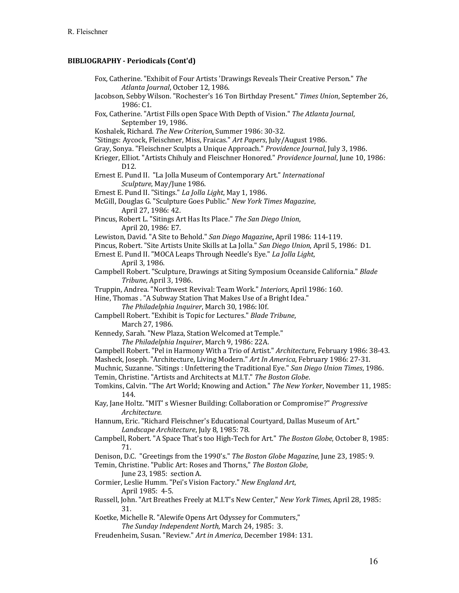| Fox, Catherine. "Exhibit of Four Artists 'Drawings Reveals Their Creative Person." The<br>Atlanta Journal, October 12, 1986.   |
|--------------------------------------------------------------------------------------------------------------------------------|
| Jacobson, Sebby Wilson. "Rochester's 16 Ton Birthday Present." Times Union, September 26,<br>1986: C1.                         |
| Fox, Catherine. "Artist Fills open Space With Depth of Vision." The Atlanta Journal,<br>September 19, 1986.                    |
| Koshalek, Richard. The New Criterion. Summer 1986: 30-32.                                                                      |
| "Sitings: Aycock, Fleischner, Miss, Fraicas." Art Papers, July/August 1986.                                                    |
| Gray, Sonya. "Fleischner Sculpts a Unique Approach." Providence Journal, July 3, 1986.                                         |
| Krieger, Elliot. "Artists Chihuly and Fleischner Honored." Providence Journal, June 10, 1986:<br>D12.                          |
| Ernest E. Pund II. "La Jolla Museum of Contemporary Art." International<br>Sculpture, May/June 1986.                           |
| Ernest E. Pund II. "Sitings." La Jolla Light, May 1, 1986.                                                                     |
| McGill, Douglas G. "Sculpture Goes Public." New York Times Magazine,                                                           |
| April 27, 1986: 42.                                                                                                            |
| Pincus, Robert L. "Sitings Art Has Its Place." The San Diego Union,                                                            |
| April 20, 1986: E7.                                                                                                            |
| Lewiston, David. "A Site to Behold." San Diego Magazine, April 1986: 114-119.                                                  |
| Pincus, Robert. "Site Artists Unite Skills at La Jolla." San Diego Union, April 5, 1986: D1.                                   |
| Ernest E. Pund II. "MOCA Leaps Through Needle's Eye." La Jolla Light,                                                          |
| April 3, 1986.                                                                                                                 |
| Campbell Robert. "Sculpture, Drawings at Siting Symposium Oceanside California." Blade                                         |
| Tribune, April 3, 1986.                                                                                                        |
| Truppin, Andrea. "Northwest Revival: Team Work." Interiors, April 1986: 160.                                                   |
| Hine, Thomas . "A Subway Station That Makes Use of a Bright Idea."                                                             |
| The Philadelphia Inquirer, March 30, 1986: 10f.                                                                                |
| Campbell Robert. "Exhibit is Topic for Lectures." Blade Tribune,                                                               |
| March 27, 1986.<br>Kennedy, Sarah. "New Plaza, Station Welcomed at Temple."                                                    |
| The Philadelphia Inquirer, March 9, 1986: 22A.                                                                                 |
| Campbell Robert. "Pel in Harmony With a Trio of Artist." Architecture, February 1986: 38-43.                                   |
| Masheck, Joseph. "Architecture, Living Modern." Art In America, February 1986: 27-31.                                          |
| Muchnic, Suzanne. "Sitings : Unfettering the Traditional Eye." San Diego Union Times, 1986.                                    |
| Temin, Christine. "Artists and Architects at M.I.T." The Boston Globe.                                                         |
| Tomkins, Calvin. "The Art World; Knowing and Action." The New Yorker, November 11, 1985:                                       |
| 144.                                                                                                                           |
| Kay, Jane Holtz. "MIT' s Wiesner Building: Collaboration or Compromise?" Progressive<br>Architecture.                          |
| Hannum, Eric. "Richard Fleischner's Educational Courtyard, Dallas Museum of Art."<br>Landscape Architecture, July 8, 1985: 78. |
| Campbell, Robert. "A Space That's too High-Tech for Art." The Boston Globe, October 8, 1985:<br>71.                            |
| Denison, D.C. "Greetings from the 1990's." The Boston Globe Magazine, June 23, 1985: 9.                                        |
| Temin, Christine. "Public Art: Roses and Thorns," The Boston Globe,                                                            |
| June 23, 1985: section A.                                                                                                      |
| Cormier, Leslie Humm. "Pei's Vision Factory." New England Art,<br>April 1985: 4-5.                                             |
| Russell, John. "Art Breathes Freely at M.I.T's New Center," New York Times, April 28, 1985:<br>31.                             |
| Koetke, Michelle R. "Alewife Opens Art Odyssey for Commuters,"                                                                 |
| The Sunday Independent North, March 24, 1985: 3.                                                                               |
|                                                                                                                                |

Freudenheim, Susan. "Review." Art in America, December 1984: 131.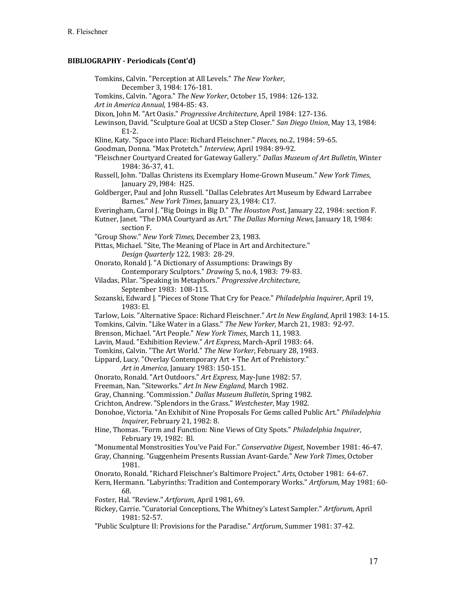Tomkins, Calvin. "Perception at All Levels." The New Yorker, December 3, 1984: 176-181. Tomkins, Calvin. "Agora." The New Yorker, October 15, 1984: 126-132. Art in America Annual, 1984-85: 43. Dixon, John M. "Art Oasis." *Progressive Architecture*, April 1984: 127-136. Lewinson, David. "Sculpture Goal at UCSD a Step Closer." San Diego Union, May 13, 1984: E1-2. Kline, Katy. "Space into Place: Richard Fleischner." *Places*, no.2, 1984: 59-65. Goodman, Donna. "Max Protetch." Interview, April 1984: 89-92. "Fleischner Courtyard Created for Gateway Gallery." *Dallas Museum of Art Bulletin*, Winter 1984: 36-37, 41. Russell, John. "Dallas Christens its Exemplary Home-Grown Museum." New York Times, January 29, 1984: H25. Goldberger, Paul and John Russell. "Dallas Celebrates Art Museum by Edward Larrabee Barnes." New York Times, January 23, 1984: C17. Everingham, Carol J. "Big Doings in Big D." The Houston Post, January 22, 1984: section F. Kutner, Janet. "The DMA Courtyard as Art." *The Dallas Morning News*, January 18, 1984: section F. "Group Show." *New York Times*, December 23, 1983. Pittas, Michael. "Site, The Meaning of Place in Art and Architecture." *Design Quarterly* 122, 1983: 28-29. Onorato, Ronald J. "A Dictionary of Assumptions: Drawings By Contemporary Sculptors." *Drawing* 5, no.4, 1983: 79-83. Viladas, Pilar. "Speaking in Metaphors." *Progressive Architecture*, September 1983: 108-115. Sozanski, Edward J. "Pieces of Stone That Cry for Peace." *Philadelphia Inquirer*, April 19, 1983: El. Tarlow, Lois. "Alternative Space: Richard Fleischner." Art In New England, April 1983: 14-15. Tomkins, Calvin. "Like Water in a Glass." The New Yorker, March 21, 1983: 92-97. Brenson, Michael. "Art People." New York Times, March 11, 1983. Lavin, Maud. "Exhibition Review." Art Express, March-April 1983: 64. Tomkins, Calvin. "The Art World." The New Yorker, February 28, 1983. Lippard, Lucy. "Overlay Contemporary Art + The Art of Prehistory." *Art in America*, January 1983: 150-151. Onorato, Ronald. "Art Outdoors." Art Express, May-June 1982: 57. Freeman, Nan. "Siteworks." Art In New England, March 1982. Gray, Channing. "Commission." *Dallas Museum Bulletin*, Spring 1982. Crichton, Andrew. "Splendors in the Grass." Westchester, May 1982. Donohoe, Victoria. "An Exhibit of Nine Proposals For Gems called Public Art." *Philadelphia Inquirer*, February 21, 1982: 8. Hine, Thomas. "Form and Function: Nine Views of City Spots." *Philadelphia Inquirer*, February 19, 1982: Bl. "Monumental Monstrosities You've Paid For." Conservative Digest, November 1981: 46-47. Gray, Channing. "Guggenheim Presents Russian Avant-Garde." *New York Times*, October 1981. Onorato, Ronald. "Richard Fleischner's Baltimore Project." Arts, October 1981: 64-67. Kern, Hermann. "Labyrinths: Tradition and Contemporary Works." Artforum, May 1981: 60-68. Foster, Hal. "Review." Artforum, April 1981, 69. Rickey, Carrie. "Curatorial Conceptions, The Whitney's Latest Sampler." *Artforum*, April 1981: 52-57. "Public Sculpture II: Provisions for the Paradise." Artforum, Summer 1981: 37-42.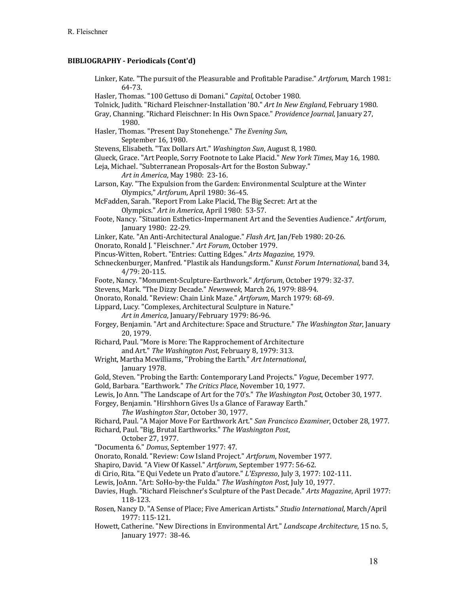Linker, Kate. "The pursuit of the Pleasurable and Profitable Paradise." Artforum, March 1981: 64-73. Hasler, Thomas. "100 Gettuso di Domani." Capital, October 1980. Tolnick, Judith. "Richard Fleischner-Installation '80." *Art In New England*, February 1980. Gray, Channing. "Richard Fleischner: In His Own Space." *Providence Journal*, January 27, 1980. Hasler, Thomas. "Present Day Stonehenge." The Evening Sun, September 16, 1980. Stevens, Elisabeth. "Tax Dollars Art." Washington Sun, August 8, 1980. Glueck, Grace. "Art People, Sorry Footnote to Lake Placid." New York Times, May 16, 1980. Leja, Michael. "Subterranean Proposals-Art for the Boston Subway." Art in America, May 1980: 23-16. Larson, Kay. "The Expulsion from the Garden: Environmental Sculpture at the Winter Olympics," *Artforum*, April 1980: 36-45. McFadden, Sarah. "Report From Lake Placid, The Big Secret: Art at the Olympics." Art in America, April 1980: 53-57. Foote, Nancy. "Situation Esthetics-Impermanent Art and the Seventies Audience." Artforum, January 1980: 22-29. Linker, Kate. "An Anti-Architectural Analogue." *Flash Art*, Jan/Feb 1980: 20-26. Onorato, Ronald J. "Fleischner." Art Forum, October 1979. Pincus-Witten, Robert. "Entries: Cutting Edges." Arts Magazine, 1979. Schneckenburger, Manfred. "Plastik als Handungsform." *Kunst Forum International*, band 34, 4/79: 20-115. Foote, Nancy. "Monument-Sculpture-Earthwork." Artforum, October 1979: 32-37. Stevens, Mark. "The Dizzy Decade." Newsweek, March 26, 1979: 88-94. Onorato, Ronald. "Review: Chain Link Maze." Artforum, March 1979: 68-69. Lippard, Lucy. "Complexes, Architectural Sculpture in Nature." Art in America, January/February 1979: 86-96. Forgey, Benjamin. "Art and Architecture: Space and Structure." *The Washington Star*, January 20, 1979. Richard, Paul. "More is More: The Rapprochement of Architecture and Art." The Washington Post, February 8, 1979: 313. Wright, Martha Mcwilliams, "Probing the Earth." *Art International*, January 1978. Gold, Steven. "Probing the Earth: Contemporary Land Projects." *Vogue*, December 1977. Gold, Barbara. "Earthwork." The Critics Place, November 10, 1977. Lewis, Jo Ann. "The Landscape of Art for the 70's." The Washington Post, October 30, 1977. Forgey, Benjamin. "Hirshhorn Gives Us a Glance of Faraway Earth." The Washington Star, October 30, 1977. Richard, Paul. "A Major Move For Earthwork Art." San Francisco Examiner, October 28, 1977. Richard, Paul. "Big, Brutal Earthworks." *The Washington Post*, October 27, 1977. "Documenta 6." *Domus*, September 1977: 47. Onorato, Ronald. "Review: Cow Island Project." Artforum, November 1977. Shapiro, David. "A View Of Kassel." Artforum, September 1977: 56-62. di Cirio, Rita. "E Qui Vedete un Prato d'autore." L'Espresso, July 3, 1977: 102-111. Lewis, JoAnn. "Art: SoHo-by-the Fulda." The Washington Post, July 10, 1977. Davies, Hugh. "Richard Fleischner's Sculpture of the Past Decade." *Arts Magazine*, April 1977: 118-123. Rosen, Nancy D. "A Sense of Place; Five American Artists." *Studio International*, March/April 1977: 115-121. Howett, Catherine. "New Directions in Environmental Art." *Landscape Architecture*, 15 no. 5, January 1977: 38-46.